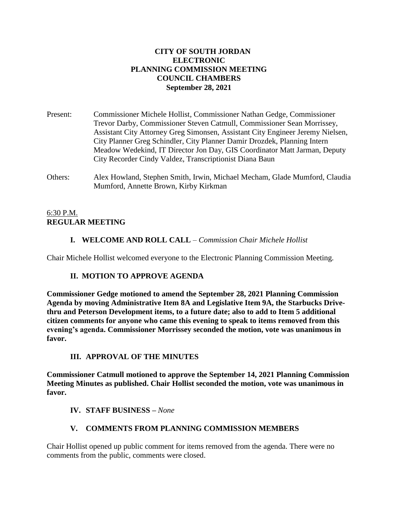## **CITY OF SOUTH JORDAN ELECTRONIC PLANNING COMMISSION MEETING COUNCIL CHAMBERS September 28, 2021**

Present: Commissioner Michele Hollist, Commissioner Nathan Gedge, Commissioner Trevor Darby, Commissioner Steven Catmull, Commissioner Sean Morrissey, Assistant City Attorney Greg Simonsen, Assistant City Engineer Jeremy Nielsen, City Planner Greg Schindler, City Planner Damir Drozdek, Planning Intern Meadow Wedekind, IT Director Jon Day, GIS Coordinator Matt Jarman, Deputy City Recorder Cindy Valdez, Transcriptionist Diana Baun

Others: Alex Howland, Stephen Smith, Irwin, Michael Mecham, Glade Mumford, Claudia Mumford, Annette Brown, Kirby Kirkman

### 6:30 P.M. **REGULAR MEETING**

# **I. WELCOME AND ROLL CALL** – *Commission Chair Michele Hollist*

Chair Michele Hollist welcomed everyone to the Electronic Planning Commission Meeting.

# **II. MOTION TO APPROVE AGENDA**

**Commissioner Gedge motioned to amend the September 28, 2021 Planning Commission Agenda by moving Administrative Item 8A and Legislative Item 9A, the Starbucks Drivethru and Peterson Development items, to a future date; also to add to Item 5 additional citizen comments for anyone who came this evening to speak to items removed from this evening's agenda. Commissioner Morrissey seconded the motion, vote was unanimous in favor.**

# **III. APPROVAL OF THE MINUTES**

**Commissioner Catmull motioned to approve the September 14, 2021 Planning Commission Meeting Minutes as published. Chair Hollist seconded the motion, vote was unanimous in favor.**

# **IV. STAFF BUSINESS –** *None*

# **V. COMMENTS FROM PLANNING COMMISSION MEMBERS**

Chair Hollist opened up public comment for items removed from the agenda. There were no comments from the public, comments were closed.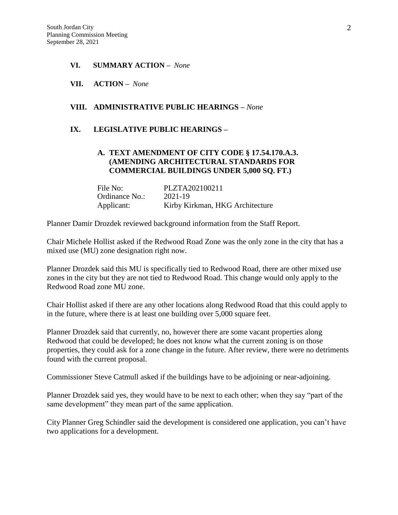- **VI. SUMMARY ACTION –** *None*
- **VII. ACTION –** *None*

# **VIII. ADMINISTRATIVE PUBLIC HEARINGS –** *None*

#### **IX. LEGISLATIVE PUBLIC HEARINGS –**

### **A. TEXT AMENDMENT OF CITY CODE § 17.54.170.A.3. (AMENDING ARCHITECTURAL STANDARDS FOR COMMERCIAL BUILDINGS UNDER 5,000 SQ. FT.)**

| File No:       | PLZTA202100211                  |
|----------------|---------------------------------|
| Ordinance No.: | 2021-19                         |
| Applicant:     | Kirby Kirkman, HKG Architecture |

Planner Damir Drozdek reviewed background information from the Staff Report.

Chair Michele Hollist asked if the Redwood Road Zone was the only zone in the city that has a mixed use (MU) zone designation right now.

Planner Drozdek said this MU is specifically tied to Redwood Road, there are other mixed use zones in the city but they are not tied to Redwood Road. This change would only apply to the Redwood Road zone MU zone.

Chair Hollist asked if there are any other locations along Redwood Road that this could apply to in the future, where there is at least one building over 5,000 square feet.

Planner Drozdek said that currently, no, however there are some vacant properties along Redwood that could be developed; he does not know what the current zoning is on those properties, they could ask for a zone change in the future. After review, there were no detriments found with the current proposal.

Commissioner Steve Catmull asked if the buildings have to be adjoining or near-adjoining.

Planner Drozdek said yes, they would have to be next to each other; when they say "part of the same development" they mean part of the same application.

City Planner Greg Schindler said the development is considered one application, you can't have two applications for a development.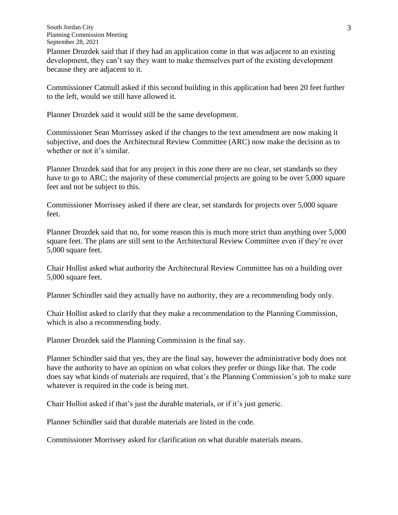Planner Drozdek said that if they had an application come in that was adjacent to an existing development, they can't say they want to make themselves part of the existing development because they are adjacent to it.

Commissioner Catmull asked if this second building in this application had been 20 feet further to the left, would we still have allowed it.

Planner Drozdek said it would still be the same development.

Commissioner Sean Morrissey asked if the changes to the text amendment are now making it subjective, and does the Architectural Review Committee (ARC) now make the decision as to whether or not it's similar.

Planner Drozdek said that for any project in this zone there are no clear, set standards so they have to go to ARC; the majority of these commercial projects are going to be over 5,000 square feet and not be subject to this.

Commissioner Morrissey asked if there are clear, set standards for projects over 5,000 square feet.

Planner Drozdek said that no, for some reason this is much more strict than anything over 5,000 square feet. The plans are still sent to the Architectural Review Committee even if they're over 5,000 square feet.

Chair Hollist asked what authority the Architectural Review Committee has on a building over 5,000 square feet.

Planner Schindler said they actually have no authority, they are a recommending body only.

Chair Hollist asked to clarify that they make a recommendation to the Planning Commission, which is also a recommending body.

Planner Drozdek said the Planning Commission is the final say.

Planner Schindler said that yes, they are the final say, however the administrative body does not have the authority to have an opinion on what colors they prefer or things like that. The code does say what kinds of materials are required, that's the Planning Commission's job to make sure whatever is required in the code is being met.

Chair Hollist asked if that's just the durable materials, or if it's just generic.

Planner Schindler said that durable materials are listed in the code.

Commissioner Morrissey asked for clarification on what durable materials means.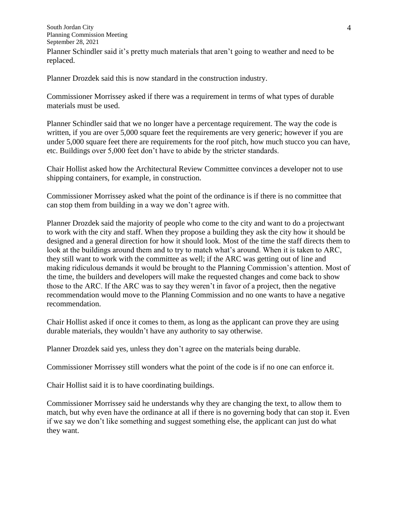South Jordan City Planning Commission Meeting September 28, 2021 Planner Schindler said it's pretty much materials that aren't going to weather and need to be replaced.

Planner Drozdek said this is now standard in the construction industry.

Commissioner Morrissey asked if there was a requirement in terms of what types of durable materials must be used.

Planner Schindler said that we no longer have a percentage requirement. The way the code is written, if you are over 5,000 square feet the requirements are very generic; however if you are under 5,000 square feet there are requirements for the roof pitch, how much stucco you can have, etc. Buildings over 5,000 feet don't have to abide by the stricter standards.

Chair Hollist asked how the Architectural Review Committee convinces a developer not to use shipping containers, for example, in construction.

Commissioner Morrissey asked what the point of the ordinance is if there is no committee that can stop them from building in a way we don't agree with.

Planner Drozdek said the majority of people who come to the city and want to do a projectwant to work with the city and staff. When they propose a building they ask the city how it should be designed and a general direction for how it should look. Most of the time the staff directs them to look at the buildings around them and to try to match what's around. When it is taken to ARC, they still want to work with the committee as well; if the ARC was getting out of line and making ridiculous demands it would be brought to the Planning Commission's attention. Most of the time, the builders and developers will make the requested changes and come back to show those to the ARC. If the ARC was to say they weren't in favor of a project, then the negative recommendation would move to the Planning Commission and no one wants to have a negative recommendation.

Chair Hollist asked if once it comes to them, as long as the applicant can prove they are using durable materials, they wouldn't have any authority to say otherwise.

Planner Drozdek said yes, unless they don't agree on the materials being durable.

Commissioner Morrissey still wonders what the point of the code is if no one can enforce it.

Chair Hollist said it is to have coordinating buildings.

Commissioner Morrissey said he understands why they are changing the text, to allow them to match, but why even have the ordinance at all if there is no governing body that can stop it. Even if we say we don't like something and suggest something else, the applicant can just do what they want.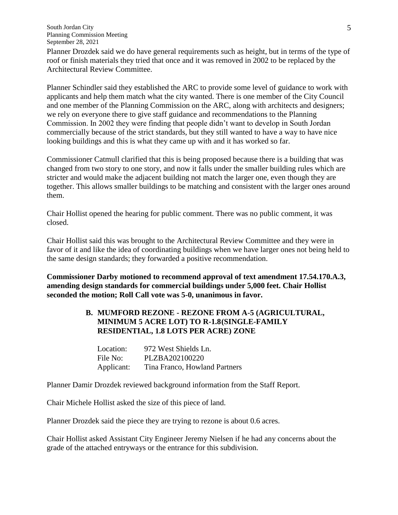Planner Drozdek said we do have general requirements such as height, but in terms of the type of roof or finish materials they tried that once and it was removed in 2002 to be replaced by the Architectural Review Committee.

Planner Schindler said they established the ARC to provide some level of guidance to work with applicants and help them match what the city wanted. There is one member of the City Council and one member of the Planning Commission on the ARC, along with architects and designers; we rely on everyone there to give staff guidance and recommendations to the Planning Commission. In 2002 they were finding that people didn't want to develop in South Jordan commercially because of the strict standards, but they still wanted to have a way to have nice looking buildings and this is what they came up with and it has worked so far.

Commissioner Catmull clarified that this is being proposed because there is a building that was changed from two story to one story, and now it falls under the smaller building rules which are stricter and would make the adjacent building not match the larger one, even though they are together. This allows smaller buildings to be matching and consistent with the larger ones around them.

Chair Hollist opened the hearing for public comment. There was no public comment, it was closed.

Chair Hollist said this was brought to the Architectural Review Committee and they were in favor of it and like the idea of coordinating buildings when we have larger ones not being held to the same design standards; they forwarded a positive recommendation.

**Commissioner Darby motioned to recommend approval of text amendment 17.54.170.A.3, amending design standards for commercial buildings under 5,000 feet. Chair Hollist seconded the motion; Roll Call vote was 5-0, unanimous in favor.**

## **B. MUMFORD REZONE - REZONE FROM A-5 (AGRICULTURAL, MINIMUM 5 ACRE LOT) TO R-1.8(SINGLE-FAMILY RESIDENTIAL, 1.8 LOTS PER ACRE) ZONE**

| Location:  | 972 West Shields Ln.          |
|------------|-------------------------------|
| File No:   | PLZBA202100220                |
| Applicant: | Tina Franco, Howland Partners |

Planner Damir Drozdek reviewed background information from the Staff Report.

Chair Michele Hollist asked the size of this piece of land.

Planner Drozdek said the piece they are trying to rezone is about 0.6 acres.

Chair Hollist asked Assistant City Engineer Jeremy Nielsen if he had any concerns about the grade of the attached entryways or the entrance for this subdivision.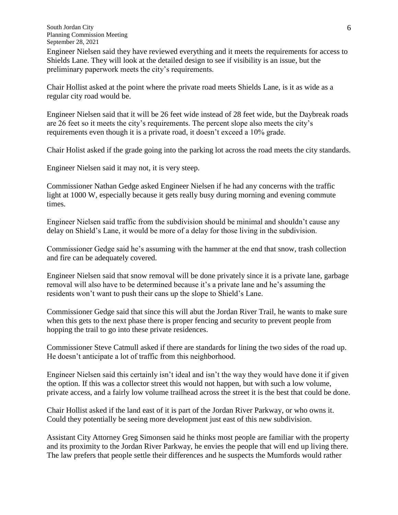Engineer Nielsen said they have reviewed everything and it meets the requirements for access to Shields Lane. They will look at the detailed design to see if visibility is an issue, but the preliminary paperwork meets the city's requirements.

Chair Hollist asked at the point where the private road meets Shields Lane, is it as wide as a regular city road would be.

Engineer Nielsen said that it will be 26 feet wide instead of 28 feet wide, but the Daybreak roads are 26 feet so it meets the city's requirements. The percent slope also meets the city's requirements even though it is a private road, it doesn't exceed a 10% grade.

Chair Holist asked if the grade going into the parking lot across the road meets the city standards.

Engineer Nielsen said it may not, it is very steep.

Commissioner Nathan Gedge asked Engineer Nielsen if he had any concerns with the traffic light at 1000 W, especially because it gets really busy during morning and evening commute times.

Engineer Nielsen said traffic from the subdivision should be minimal and shouldn't cause any delay on Shield's Lane, it would be more of a delay for those living in the subdivision.

Commissioner Gedge said he's assuming with the hammer at the end that snow, trash collection and fire can be adequately covered.

Engineer Nielsen said that snow removal will be done privately since it is a private lane, garbage removal will also have to be determined because it's a private lane and he's assuming the residents won't want to push their cans up the slope to Shield's Lane.

Commissioner Gedge said that since this will abut the Jordan River Trail, he wants to make sure when this gets to the next phase there is proper fencing and security to prevent people from hopping the trail to go into these private residences.

Commissioner Steve Catmull asked if there are standards for lining the two sides of the road up. He doesn't anticipate a lot of traffic from this neighborhood.

Engineer Nielsen said this certainly isn't ideal and isn't the way they would have done it if given the option. If this was a collector street this would not happen, but with such a low volume, private access, and a fairly low volume trailhead across the street it is the best that could be done.

Chair Hollist asked if the land east of it is part of the Jordan River Parkway, or who owns it. Could they potentially be seeing more development just east of this new subdivision.

Assistant City Attorney Greg Simonsen said he thinks most people are familiar with the property and its proximity to the Jordan River Parkway, he envies the people that will end up living there. The law prefers that people settle their differences and he suspects the Mumfords would rather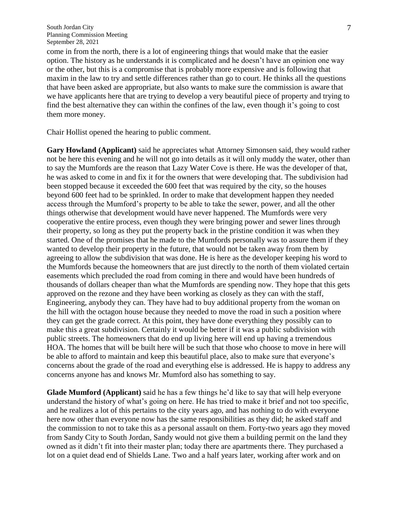come in from the north, there is a lot of engineering things that would make that the easier option. The history as he understands it is complicated and he doesn't have an opinion one way or the other, but this is a compromise that is probably more expensive and is following that maxim in the law to try and settle differences rather than go to court. He thinks all the questions that have been asked are appropriate, but also wants to make sure the commission is aware that we have applicants here that are trying to develop a very beautiful piece of property and trying to find the best alternative they can within the confines of the law, even though it's going to cost them more money.

Chair Hollist opened the hearing to public comment.

**Gary Howland (Applicant)** said he appreciates what Attorney Simonsen said, they would rather not be here this evening and he will not go into details as it will only muddy the water, other than to say the Mumfords are the reason that Lazy Water Cove is there. He was the developer of that, he was asked to come in and fix it for the owners that were developing that. The subdivision had been stopped because it exceeded the 600 feet that was required by the city, so the houses beyond 600 feet had to be sprinkled. In order to make that development happen they needed access through the Mumford's property to be able to take the sewer, power, and all the other things otherwise that development would have never happened. The Mumfords were very cooperative the entire process, even though they were bringing power and sewer lines through their property, so long as they put the property back in the pristine condition it was when they started. One of the promises that he made to the Mumfords personally was to assure them if they wanted to develop their property in the future, that would not be taken away from them by agreeing to allow the subdivision that was done. He is here as the developer keeping his word to the Mumfords because the homeowners that are just directly to the north of them violated certain easements which precluded the road from coming in there and would have been hundreds of thousands of dollars cheaper than what the Mumfords are spending now. They hope that this gets approved on the rezone and they have been working as closely as they can with the staff, Engineering, anybody they can. They have had to buy additional property from the woman on the hill with the octagon house because they needed to move the road in such a position where they can get the grade correct. At this point, they have done everything they possibly can to make this a great subdivision. Certainly it would be better if it was a public subdivision with public streets. The homeowners that do end up living here will end up having a tremendous HOA. The homes that will be built here will be such that those who choose to move in here will be able to afford to maintain and keep this beautiful place, also to make sure that everyone's concerns about the grade of the road and everything else is addressed. He is happy to address any concerns anyone has and knows Mr. Mumford also has something to say.

**Glade Mumford (Applicant)** said he has a few things he'd like to say that will help everyone understand the history of what's going on here. He has tried to make it brief and not too specific, and he realizes a lot of this pertains to the city years ago, and has nothing to do with everyone here now other than everyone now has the same responsibilities as they did; he asked staff and the commission to not to take this as a personal assault on them. Forty-two years ago they moved from Sandy City to South Jordan, Sandy would not give them a building permit on the land they owned as it didn't fit into their master plan; today there are apartments there. They purchased a lot on a quiet dead end of Shields Lane. Two and a half years later, working after work and on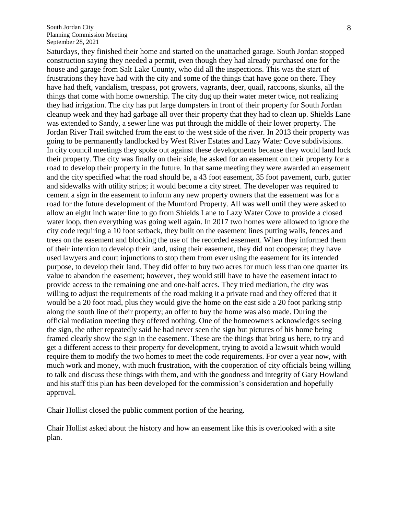Saturdays, they finished their home and started on the unattached garage. South Jordan stopped construction saying they needed a permit, even though they had already purchased one for the house and garage from Salt Lake County, who did all the inspections. This was the start of frustrations they have had with the city and some of the things that have gone on there. They have had theft, vandalism, trespass, pot growers, vagrants, deer, quail, raccoons, skunks, all the things that come with home ownership. The city dug up their water meter twice, not realizing they had irrigation. The city has put large dumpsters in front of their property for South Jordan cleanup week and they had garbage all over their property that they had to clean up. Shields Lane was extended to Sandy, a sewer line was put through the middle of their lower property. The Jordan River Trail switched from the east to the west side of the river. In 2013 their property was going to be permanently landlocked by West River Estates and Lazy Water Cove subdivisions. In city council meetings they spoke out against these developments because they would land lock their property. The city was finally on their side, he asked for an easement on their property for a road to develop their property in the future. In that same meeting they were awarded an easement and the city specified what the road should be, a 43 foot easement, 35 foot pavement, curb, gutter and sidewalks with utility strips; it would become a city street. The developer was required to cement a sign in the easement to inform any new property owners that the easement was for a road for the future development of the Mumford Property. All was well until they were asked to allow an eight inch water line to go from Shields Lane to Lazy Water Cove to provide a closed water loop, then everything was going well again. In 2017 two homes were allowed to ignore the city code requiring a 10 foot setback, they built on the easement lines putting walls, fences and trees on the easement and blocking the use of the recorded easement. When they informed them of their intention to develop their land, using their easement, they did not cooperate; they have used lawyers and court injunctions to stop them from ever using the easement for its intended purpose, to develop their land. They did offer to buy two acres for much less than one quarter its value to abandon the easement; however, they would still have to have the easement intact to provide access to the remaining one and one-half acres. They tried mediation, the city was willing to adjust the requirements of the road making it a private road and they offered that it would be a 20 foot road, plus they would give the home on the east side a 20 foot parking strip along the south line of their property; an offer to buy the home was also made. During the official mediation meeting they offered nothing. One of the homeowners acknowledges seeing the sign, the other repeatedly said he had never seen the sign but pictures of his home being framed clearly show the sign in the easement. These are the things that bring us here, to try and get a different access to their property for development, trying to avoid a lawsuit which would require them to modify the two homes to meet the code requirements. For over a year now, with much work and money, with much frustration, with the cooperation of city officials being willing to talk and discuss these things with them, and with the goodness and integrity of Gary Howland and his staff this plan has been developed for the commission's consideration and hopefully approval.

Chair Hollist closed the public comment portion of the hearing.

Chair Hollist asked about the history and how an easement like this is overlooked with a site plan.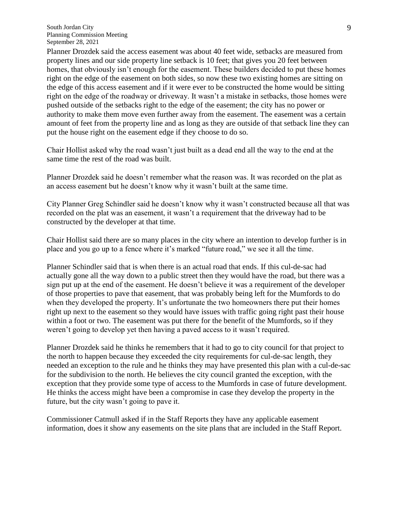Planner Drozdek said the access easement was about 40 feet wide, setbacks are measured from property lines and our side property line setback is 10 feet; that gives you 20 feet between homes, that obviously isn't enough for the easement. These builders decided to put these homes right on the edge of the easement on both sides, so now these two existing homes are sitting on the edge of this access easement and if it were ever to be constructed the home would be sitting right on the edge of the roadway or driveway. It wasn't a mistake in setbacks, those homes were pushed outside of the setbacks right to the edge of the easement; the city has no power or authority to make them move even further away from the easement. The easement was a certain amount of feet from the property line and as long as they are outside of that setback line they can put the house right on the easement edge if they choose to do so.

Chair Hollist asked why the road wasn't just built as a dead end all the way to the end at the same time the rest of the road was built.

Planner Drozdek said he doesn't remember what the reason was. It was recorded on the plat as an access easement but he doesn't know why it wasn't built at the same time.

City Planner Greg Schindler said he doesn't know why it wasn't constructed because all that was recorded on the plat was an easement, it wasn't a requirement that the driveway had to be constructed by the developer at that time.

Chair Hollist said there are so many places in the city where an intention to develop further is in place and you go up to a fence where it's marked "future road," we see it all the time.

Planner Schindler said that is when there is an actual road that ends. If this cul-de-sac had actually gone all the way down to a public street then they would have the road, but there was a sign put up at the end of the easement. He doesn't believe it was a requirement of the developer of those properties to pave that easement, that was probably being left for the Mumfords to do when they developed the property. It's unfortunate the two homeowners there put their homes right up next to the easement so they would have issues with traffic going right past their house within a foot or two. The easement was put there for the benefit of the Mumfords, so if they weren't going to develop yet then having a paved access to it wasn't required.

Planner Drozdek said he thinks he remembers that it had to go to city council for that project to the north to happen because they exceeded the city requirements for cul-de-sac length, they needed an exception to the rule and he thinks they may have presented this plan with a cul-de-sac for the subdivision to the north. He believes the city council granted the exception, with the exception that they provide some type of access to the Mumfords in case of future development. He thinks the access might have been a compromise in case they develop the property in the future, but the city wasn't going to pave it.

Commissioner Catmull asked if in the Staff Reports they have any applicable easement information, does it show any easements on the site plans that are included in the Staff Report.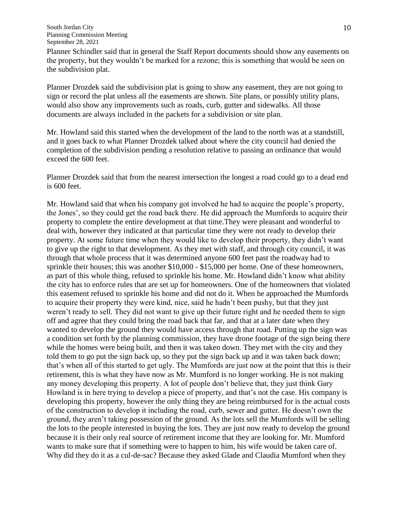Planner Schindler said that in general the Staff Report documents should show any easements on the property, but they wouldn't be marked for a rezone; this is something that would be seen on the subdivision plat.

Planner Drozdek said the subdivision plat is going to show any easement, they are not going to sign or record the plat unless all the easements are shown. Site plans, or possibly utility plans, would also show any improvements such as roads, curb, gutter and sidewalks. All those documents are always included in the packets for a subdivision or site plan.

Mr. Howland said this started when the development of the land to the north was at a standstill, and it goes back to what Planner Drozdek talked about where the city council had denied the completion of the subdivision pending a resolution relative to passing an ordinance that would exceed the 600 feet.

Planner Drozdek said that from the nearest intersection the longest a road could go to a dead end is 600 feet.

Mr. Howland said that when his company got involved he had to acquire the people's property, the Jones', so they could get the road back there. He did approach the Mumfords to acquire their property to complete the entire development at that time.They were pleasant and wonderful to deal with, however they indicated at that particular time they were not ready to develop their property. At some future time when they would like to develop their property, they didn't want to give up the right to that development. As they met with staff, and through city council, it was through that whole process that it was determined anyone 600 feet past the roadway had to sprinkle their houses; this was another \$10,000 - \$15,000 per home. One of these homeowners, as part of this whole thing, refused to sprinkle his home. Mr. Howland didn't know what ability the city has to enforce rules that are set up for homeowners. One of the homeowners that violated this easement refused to sprinkle his home and did not do it. When he approached the Mumfords to acquire their property they were kind, nice, said he hadn't been pushy, but that they just weren't ready to sell. They did not want to give up their future right and he needed them to sign off and agree that they could bring the road back that far, and that at a later date when they wanted to develop the ground they would have access through that road. Putting up the sign was a condition set forth by the planning commission, they have drone footage of the sign being there while the homes were being built, and then it was taken down. They met with the city and they told them to go put the sign back up, so they put the sign back up and it was taken back down; that's when all of this started to get ugly. The Mumfords are just now at the point that this is their retirement, this is what they have now as Mr. Mumford is no longer working. He is not making any money developing this property. A lot of people don't believe that, they just think Gary Howland is in here trying to develop a piece of property, and that's not the case. His company is developing this property, however the only thing they are being reimbursed for is the actual costs of the construction to develop it including the road, curb, sewer and gutter. He doesn't own the ground, they aren't taking possession of the ground. As the lots sell the Mumfords will be selling the lots to the people interested in buying the lots. They are just now ready to develop the ground because it is their only real source of retirement income that they are looking for. Mr. Mumford wants to make sure that if something were to happen to him, his wife would be taken care of. Why did they do it as a cul-de-sac? Because they asked Glade and Claudia Mumford when they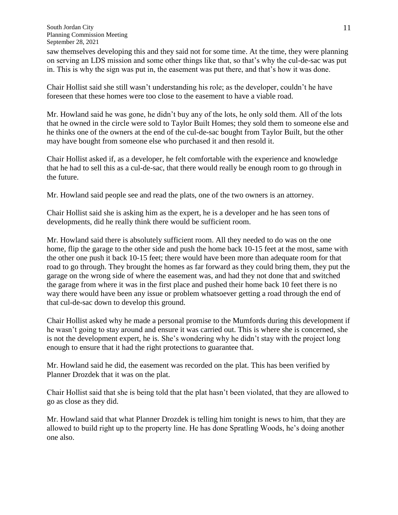saw themselves developing this and they said not for some time. At the time, they were planning on serving an LDS mission and some other things like that, so that's why the cul-de-sac was put in. This is why the sign was put in, the easement was put there, and that's how it was done.

Chair Hollist said she still wasn't understanding his role; as the developer, couldn't he have foreseen that these homes were too close to the easement to have a viable road.

Mr. Howland said he was gone, he didn't buy any of the lots, he only sold them. All of the lots that he owned in the circle were sold to Taylor Built Homes; they sold them to someone else and he thinks one of the owners at the end of the cul-de-sac bought from Taylor Built, but the other may have bought from someone else who purchased it and then resold it.

Chair Hollist asked if, as a developer, he felt comfortable with the experience and knowledge that he had to sell this as a cul-de-sac, that there would really be enough room to go through in the future.

Mr. Howland said people see and read the plats, one of the two owners is an attorney.

Chair Hollist said she is asking him as the expert, he is a developer and he has seen tons of developments, did he really think there would be sufficient room.

Mr. Howland said there is absolutely sufficient room. All they needed to do was on the one home, flip the garage to the other side and push the home back 10-15 feet at the most, same with the other one push it back 10-15 feet; there would have been more than adequate room for that road to go through. They brought the homes as far forward as they could bring them, they put the garage on the wrong side of where the easement was, and had they not done that and switched the garage from where it was in the first place and pushed their home back 10 feet there is no way there would have been any issue or problem whatsoever getting a road through the end of that cul-de-sac down to develop this ground.

Chair Hollist asked why he made a personal promise to the Mumfords during this development if he wasn't going to stay around and ensure it was carried out. This is where she is concerned, she is not the development expert, he is. She's wondering why he didn't stay with the project long enough to ensure that it had the right protections to guarantee that.

Mr. Howland said he did, the easement was recorded on the plat. This has been verified by Planner Drozdek that it was on the plat.

Chair Hollist said that she is being told that the plat hasn't been violated, that they are allowed to go as close as they did.

Mr. Howland said that what Planner Drozdek is telling him tonight is news to him, that they are allowed to build right up to the property line. He has done Spratling Woods, he's doing another one also.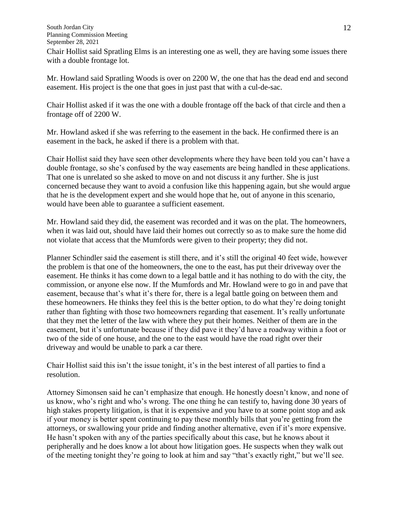South Jordan City Planning Commission Meeting September 28, 2021 Chair Hollist said Spratling Elms is an interesting one as well, they are having some issues there with a double frontage lot.

Mr. Howland said Spratling Woods is over on 2200 W, the one that has the dead end and second easement. His project is the one that goes in just past that with a cul-de-sac.

Chair Hollist asked if it was the one with a double frontage off the back of that circle and then a frontage off of 2200 W.

Mr. Howland asked if she was referring to the easement in the back. He confirmed there is an easement in the back, he asked if there is a problem with that.

Chair Hollist said they have seen other developments where they have been told you can't have a double frontage, so she's confused by the way easements are being handled in these applications. That one is unrelated so she asked to move on and not discuss it any further. She is just concerned because they want to avoid a confusion like this happening again, but she would argue that he is the development expert and she would hope that he, out of anyone in this scenario, would have been able to guarantee a sufficient easement.

Mr. Howland said they did, the easement was recorded and it was on the plat. The homeowners, when it was laid out, should have laid their homes out correctly so as to make sure the home did not violate that access that the Mumfords were given to their property; they did not.

Planner Schindler said the easement is still there, and it's still the original 40 feet wide, however the problem is that one of the homeowners, the one to the east, has put their driveway over the easement. He thinks it has come down to a legal battle and it has nothing to do with the city, the commission, or anyone else now. If the Mumfords and Mr. Howland were to go in and pave that easement, because that's what it's there for, there is a legal battle going on between them and these homeowners. He thinks they feel this is the better option, to do what they're doing tonight rather than fighting with those two homeowners regarding that easement. It's really unfortunate that they met the letter of the law with where they put their homes. Neither of them are in the easement, but it's unfortunate because if they did pave it they'd have a roadway within a foot or two of the side of one house, and the one to the east would have the road right over their driveway and would be unable to park a car there.

Chair Hollist said this isn't the issue tonight, it's in the best interest of all parties to find a resolution.

Attorney Simonsen said he can't emphasize that enough. He honestly doesn't know, and none of us know, who's right and who's wrong. The one thing he can testify to, having done 30 years of high stakes property litigation, is that it is expensive and you have to at some point stop and ask if your money is better spent continuing to pay these monthly bills that you're getting from the attorneys, or swallowing your pride and finding another alternative, even if it's more expensive. He hasn't spoken with any of the parties specifically about this case, but he knows about it peripherally and he does know a lot about how litigation goes. He suspects when they walk out of the meeting tonight they're going to look at him and say "that's exactly right," but we'll see.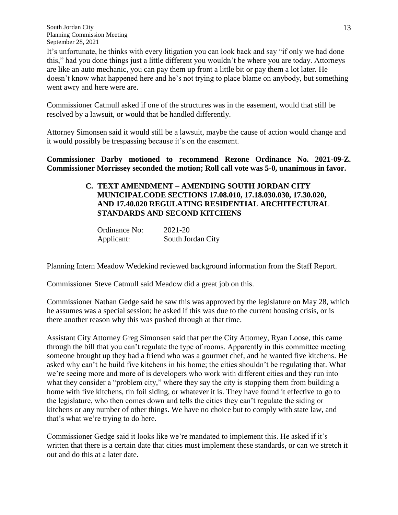It's unfortunate, he thinks with every litigation you can look back and say "if only we had done this," had you done things just a little different you wouldn't be where you are today. Attorneys are like an auto mechanic, you can pay them up front a little bit or pay them a lot later. He doesn't know what happened here and he's not trying to place blame on anybody, but something went awry and here were are.

Commissioner Catmull asked if one of the structures was in the easement, would that still be resolved by a lawsuit, or would that be handled differently.

Attorney Simonsen said it would still be a lawsuit, maybe the cause of action would change and it would possibly be trespassing because it's on the easement.

**Commissioner Darby motioned to recommend Rezone Ordinance No. 2021-09-Z. Commissioner Morrissey seconded the motion; Roll call vote was 5-0, unanimous in favor.**

# **C. TEXT AMENDMENT – AMENDING SOUTH JORDAN CITY MUNICIPALCODE SECTIONS 17.08.010, 17.18.030.030, 17.30.020, AND 17.40.020 REGULATING RESIDENTIAL ARCHITECTURAL STANDARDS AND SECOND KITCHENS**

Ordinance No: 2021-20 Applicant: South Jordan City

Planning Intern Meadow Wedekind reviewed background information from the Staff Report.

Commissioner Steve Catmull said Meadow did a great job on this.

Commissioner Nathan Gedge said he saw this was approved by the legislature on May 28, which he assumes was a special session; he asked if this was due to the current housing crisis, or is there another reason why this was pushed through at that time.

Assistant City Attorney Greg Simonsen said that per the City Attorney, Ryan Loose, this came through the bill that you can't regulate the type of rooms. Apparently in this committee meeting someone brought up they had a friend who was a gourmet chef, and he wanted five kitchens. He asked why can't he build five kitchens in his home; the cities shouldn't be regulating that. What we're seeing more and more of is developers who work with different cities and they run into what they consider a "problem city," where they say the city is stopping them from building a home with five kitchens, tin foil siding, or whatever it is. They have found it effective to go to the legislature, who then comes down and tells the cities they can't regulate the siding or kitchens or any number of other things. We have no choice but to comply with state law, and that's what we're trying to do here.

Commissioner Gedge said it looks like we're mandated to implement this. He asked if it's written that there is a certain date that cities must implement these standards, or can we stretch it out and do this at a later date.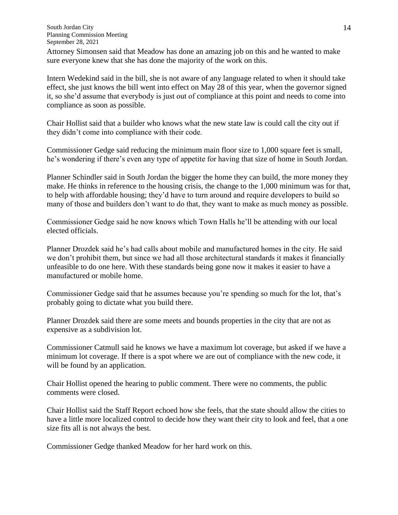Attorney Simonsen said that Meadow has done an amazing job on this and he wanted to make sure everyone knew that she has done the majority of the work on this.

Intern Wedekind said in the bill, she is not aware of any language related to when it should take effect, she just knows the bill went into effect on May 28 of this year, when the governor signed it, so she'd assume that everybody is just out of compliance at this point and needs to come into compliance as soon as possible.

Chair Hollist said that a builder who knows what the new state law is could call the city out if they didn't come into compliance with their code.

Commissioner Gedge said reducing the minimum main floor size to 1,000 square feet is small, he's wondering if there's even any type of appetite for having that size of home in South Jordan.

Planner Schindler said in South Jordan the bigger the home they can build, the more money they make. He thinks in reference to the housing crisis, the change to the 1,000 minimum was for that, to help with affordable housing; they'd have to turn around and require developers to build so many of those and builders don't want to do that, they want to make as much money as possible.

Commissioner Gedge said he now knows which Town Halls he'll be attending with our local elected officials.

Planner Drozdek said he's had calls about mobile and manufactured homes in the city. He said we don't prohibit them, but since we had all those architectural standards it makes it financially unfeasible to do one here. With these standards being gone now it makes it easier to have a manufactured or mobile home.

Commissioner Gedge said that he assumes because you're spending so much for the lot, that's probably going to dictate what you build there.

Planner Drozdek said there are some meets and bounds properties in the city that are not as expensive as a subdivision lot.

Commissioner Catmull said he knows we have a maximum lot coverage, but asked if we have a minimum lot coverage. If there is a spot where we are out of compliance with the new code, it will be found by an application.

Chair Hollist opened the hearing to public comment. There were no comments, the public comments were closed.

Chair Hollist said the Staff Report echoed how she feels, that the state should allow the cities to have a little more localized control to decide how they want their city to look and feel, that a one size fits all is not always the best.

Commissioner Gedge thanked Meadow for her hard work on this.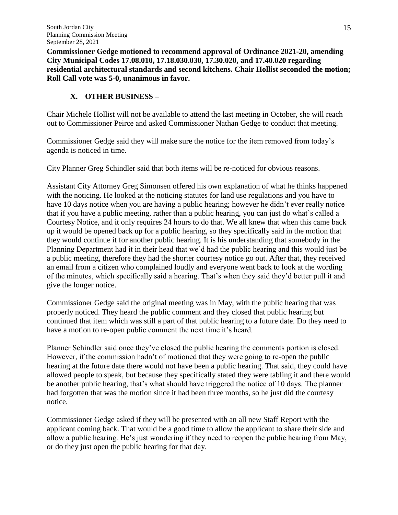**Commissioner Gedge motioned to recommend approval of Ordinance 2021-20, amending City Municipal Codes 17.08.010, 17.18.030.030, 17.30.020, and 17.40.020 regarding residential architectural standards and second kitchens. Chair Hollist seconded the motion; Roll Call vote was 5-0, unanimous in favor.**

# **X. OTHER BUSINESS –**

Chair Michele Hollist will not be available to attend the last meeting in October, she will reach out to Commissioner Peirce and asked Commissioner Nathan Gedge to conduct that meeting.

Commissioner Gedge said they will make sure the notice for the item removed from today's agenda is noticed in time.

City Planner Greg Schindler said that both items will be re-noticed for obvious reasons.

Assistant City Attorney Greg Simonsen offered his own explanation of what he thinks happened with the noticing. He looked at the noticing statutes for land use regulations and you have to have 10 days notice when you are having a public hearing; however he didn't ever really notice that if you have a public meeting, rather than a public hearing, you can just do what's called a Courtesy Notice, and it only requires 24 hours to do that. We all knew that when this came back up it would be opened back up for a public hearing, so they specifically said in the motion that they would continue it for another public hearing. It is his understanding that somebody in the Planning Department had it in their head that we'd had the public hearing and this would just be a public meeting, therefore they had the shorter courtesy notice go out. After that, they received an email from a citizen who complained loudly and everyone went back to look at the wording of the minutes, which specifically said a hearing. That's when they said they'd better pull it and give the longer notice.

Commissioner Gedge said the original meeting was in May, with the public hearing that was properly noticed. They heard the public comment and they closed that public hearing but continued that item which was still a part of that public hearing to a future date. Do they need to have a motion to re-open public comment the next time it's heard.

Planner Schindler said once they've closed the public hearing the comments portion is closed. However, if the commission hadn't of motioned that they were going to re-open the public hearing at the future date there would not have been a public hearing. That said, they could have allowed people to speak, but because they specifically stated they were tabling it and there would be another public hearing, that's what should have triggered the notice of 10 days. The planner had forgotten that was the motion since it had been three months, so he just did the courtesy notice.

Commissioner Gedge asked if they will be presented with an all new Staff Report with the applicant coming back. That would be a good time to allow the applicant to share their side and allow a public hearing. He's just wondering if they need to reopen the public hearing from May, or do they just open the public hearing for that day.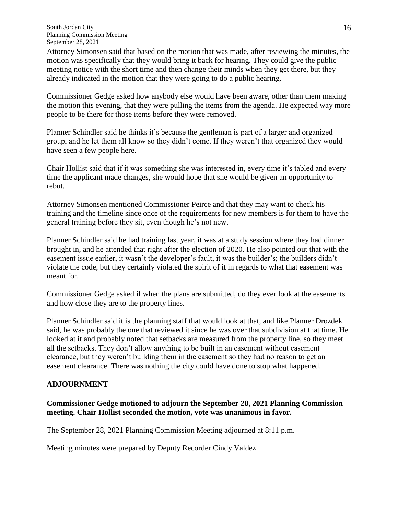Attorney Simonsen said that based on the motion that was made, after reviewing the minutes, the motion was specifically that they would bring it back for hearing. They could give the public meeting notice with the short time and then change their minds when they get there, but they already indicated in the motion that they were going to do a public hearing.

Commissioner Gedge asked how anybody else would have been aware, other than them making the motion this evening, that they were pulling the items from the agenda. He expected way more people to be there for those items before they were removed.

Planner Schindler said he thinks it's because the gentleman is part of a larger and organized group, and he let them all know so they didn't come. If they weren't that organized they would have seen a few people here.

Chair Hollist said that if it was something she was interested in, every time it's tabled and every time the applicant made changes, she would hope that she would be given an opportunity to rebut.

Attorney Simonsen mentioned Commissioner Peirce and that they may want to check his training and the timeline since once of the requirements for new members is for them to have the general training before they sit, even though he's not new.

Planner Schindler said he had training last year, it was at a study session where they had dinner brought in, and he attended that right after the election of 2020. He also pointed out that with the easement issue earlier, it wasn't the developer's fault, it was the builder's; the builders didn't violate the code, but they certainly violated the spirit of it in regards to what that easement was meant for.

Commissioner Gedge asked if when the plans are submitted, do they ever look at the easements and how close they are to the property lines.

Planner Schindler said it is the planning staff that would look at that, and like Planner Drozdek said, he was probably the one that reviewed it since he was over that subdivision at that time. He looked at it and probably noted that setbacks are measured from the property line, so they meet all the setbacks. They don't allow anything to be built in an easement without easement clearance, but they weren't building them in the easement so they had no reason to get an easement clearance. There was nothing the city could have done to stop what happened.

# **ADJOURNMENT**

# **Commissioner Gedge motioned to adjourn the September 28, 2021 Planning Commission meeting. Chair Hollist seconded the motion, vote was unanimous in favor.**

The September 28, 2021 Planning Commission Meeting adjourned at 8:11 p.m.

Meeting minutes were prepared by Deputy Recorder Cindy Valdez